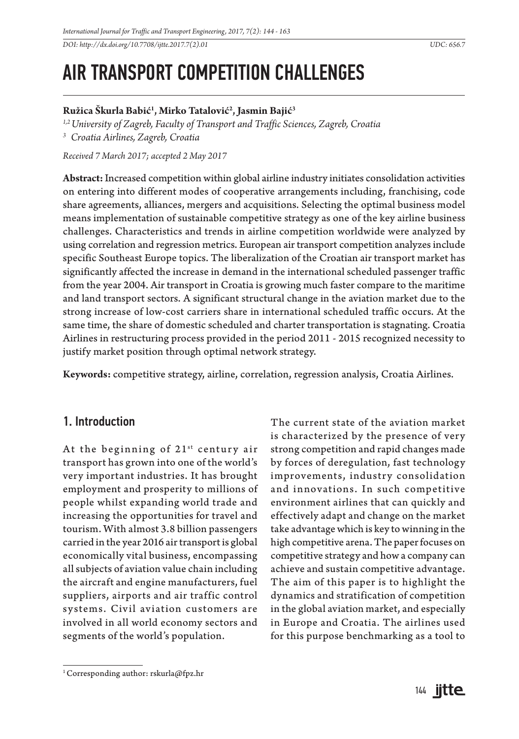*DOI: http://dx.doi.org/10.7708/ijtte.2017.7(2).01 UDC: 656.7* 

# AIR TRANSPORT COMPETITION CHALLENGES

### **Ružica Škurla Babić1 , Mirko Tatalović2 , Jasmin Bajić3**

*1,2University of Zagreb, Faculty of Transport and Traffic Sciences, Zagreb, Croatia*

*3 Croatia Airlines, Zagreb, Croatia*

*Received 7 March 2017; accepted 2 May 2017*

**Abstract:** Increased competition within global airline industry initiates consolidation activities on entering into different modes of cooperative arrangements including, franchising, code share agreements, alliances, mergers and acquisitions. Selecting the optimal business model means implementation of sustainable competitive strategy as one of the key airline business challenges. Characteristics and trends in airline competition worldwide were analyzed by using correlation and regression metrics. European air transport competition analyzes include specific Southeast Europe topics. The liberalization of the Croatian air transport market has significantly affected the increase in demand in the international scheduled passenger traffic from the year 2004. Air transport in Croatia is growing much faster compare to the maritime and land transport sectors. A significant structural change in the aviation market due to the strong increase of low-cost carriers share in international scheduled traffic occurs. At the same time, the share of domestic scheduled and charter transportation is stagnating. Croatia Airlines in restructuring process provided in the period 2011 - 2015 recognized necessity to justify market position through optimal network strategy.

**Keywords:** competitive strategy, airline, correlation, regression analysis, Croatia Airlines.

### 1. Introduction

At the beginning of  $21^{st}$  century air transport has grown into one of the world's very important industries. It has brought employment and prosperity to millions of people whilst expanding world trade and increasing the opportunities for travel and tourism. With almost 3.8 billion passengers carried in the year 2016 air transport is global economically vital business, encompassing all subjects of aviation value chain including the aircraft and engine manufacturers, fuel suppliers, airports and air traffic control systems. Civil aviation customers are involved in all world economy sectors and segments of the world's population.

The current state of the aviation market is characterized by the presence of very strong competition and rapid changes made by forces of deregulation, fast technology improvements, industry consolidation and innovations. In such competitive environment airlines that can quickly and effectively adapt and change on the market take advantage which is key to winning in the high competitive arena. The paper focuses on competitive strategy and how a company can achieve and sustain competitive advantage. The aim of this paper is to highlight the dynamics and stratification of competition in the global aviation market, and especially in Europe and Croatia. The airlines used for this purpose benchmarking as a tool to

<sup>1</sup> Corresponding author: rskurla@fpz.hr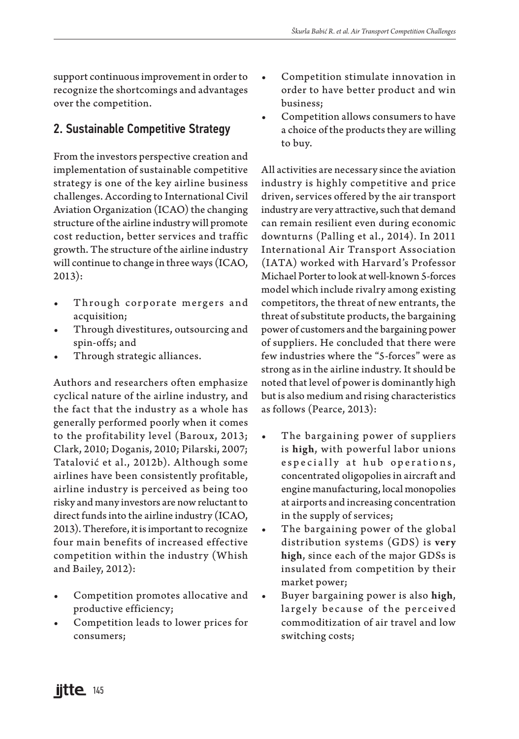support continuous improvement in order to recognize the shortcomings and advantages over the competition.

# 2. Sustainable Competitive Strategy

From the investors perspective creation and implementation of sustainable competitive strategy is one of the key airline business challenges. According to International Civil Aviation Organization (ICAO) the changing structure of the airline industry will promote cost reduction, better services and traffic growth. The structure of the airline industry will continue to change in three ways (ICAO, 2013):

- Through corporate mergers and acquisition;
- Through divestitures, outsourcing and spin-offs; and
- Through strategic alliances.

Authors and researchers often emphasize cyclical nature of the airline industry, and the fact that the industry as a whole has generally performed poorly when it comes to the profitability level (Baroux, 2013; Clark, 2010; Doganis, 2010; Pilarski, 2007; Tatalović et al., 2012b). Although some airlines have been consistently profitable, airline industry is perceived as being too risky and many investors are now reluctant to direct funds into the airline industry (ICAO, 2013). Therefore, it is important to recognize four main benefits of increased effective competition within the industry (Whish and Bailey, 2012):

- Competition promotes allocative and productive efficiency;
- Competition leads to lower prices for consumers;
- Competition stimulate innovation in order to have better product and win business;
- Competition allows consumers to have a choice of the products they are willing to buy.

All activities are necessary since the aviation industry is highly competitive and price driven, services offered by the air transport industry are very attractive, such that demand can remain resilient even during economic downturns (Palling et al., 2014). In 2011 International Air Transport Association (IATA) worked with Harvard's Professor Michael Porter to look at well-known 5-forces model which include rivalry among existing competitors, the threat of new entrants, the threat of substitute products, the bargaining power of customers and the bargaining power of suppliers. He concluded that there were few industries where the "5-forces" were as strong as in the airline industry. It should be noted that level of power is dominantly high but is also medium and rising characteristics as follows (Pearce, 2013):

- The bargaining power of suppliers is **high**, with powerful labor unions e specially at hub operations, concentrated oligopolies in aircraft and engine manufacturing, local monopolies at airports and increasing concentration in the supply of services;
- The bargaining power of the global distribution systems (GDS) is **very high**, since each of the major GDSs is insulated from competition by their market power;
- Buyer bargaining power is also **high**, largely because of the perceived commoditization of air travel and low switching costs;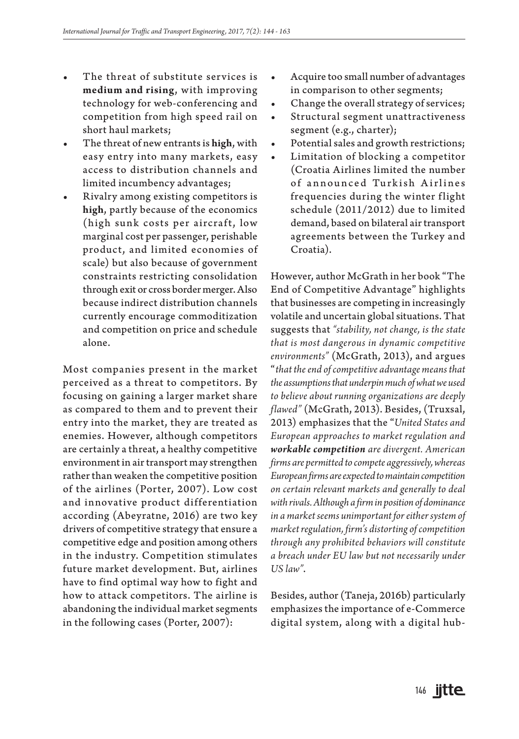- The threat of substitute services is **medium and rising**, with improving technology for web-conferencing and competition from high speed rail on short haul markets;
- The threat of new entrants is **high**, with easy entry into many markets, easy access to distribution channels and limited incumbency advantages;
- Rivalry among existing competitors is **high**, partly because of the economics (high sunk costs per aircraft, low marginal cost per passenger, perishable product, and limited economies of scale) but also because of government constraints restricting consolidation through exit or cross border merger. Also because indirect distribution channels currently encourage commoditization and competition on price and schedule alone.

Most companies present in the market perceived as a threat to competitors. By focusing on gaining a larger market share as compared to them and to prevent their entry into the market, they are treated as enemies. However, although competitors are certainly a threat, a healthy competitive environment in air transport may strengthen rather than weaken the competitive position of the airlines (Porter, 2007). Low cost and innovative product differentiation according (Abeyratne, 2016) are two key drivers of competitive strategy that ensure a competitive edge and position among others in the industry. Competition stimulates future market development. But, airlines have to find optimal way how to fight and how to attack competitors. The airline is abandoning the individual market segments in the following cases (Porter, 2007):

- Acquire too small number of advantages in comparison to other segments;
- Change the overall strategy of services;
- Structural segment unattractiveness segment (e.g., charter);
- Potential sales and growth restrictions;
- Limitation of blocking a competitor (Croatia Airlines limited the number of announced Turkish Airlines frequencies during the winter flight schedule (2011/2012) due to limited demand, based on bilateral air transport agreements between the Turkey and Croatia).

However, author McGrath in her book "The End of Competitive Advantage" highlights that businesses are competing in increasingly volatile and uncertain global situations. That suggests that *"stability, not change, is the state that is most dangerous in dynamic competitive environments"* (McGrath, 2013), and argues "*that the end of competitive advantage means that the assumptions that underpin much of what we used to believe about running organizations are deeply flawed"* (McGrath, 2013). Besides, (Truxsal, 2013) emphasizes that the "*United States and European approaches to market regulation and workable competition are divergent. American firms are permitted to compete aggressively, whereas European firms are expected to maintain competition on certain relevant markets and generally to deal with rivals. Although a firm in position of dominance in a market seems unimportant for either system of market regulation, firm's distorting of competition through any prohibited behaviors will constitute a breach under EU law but not necessarily under US law"*.

Besides, author (Taneja, 2016b) particularly emphasizes the importance of e-Commerce digital system, along with a digital hub-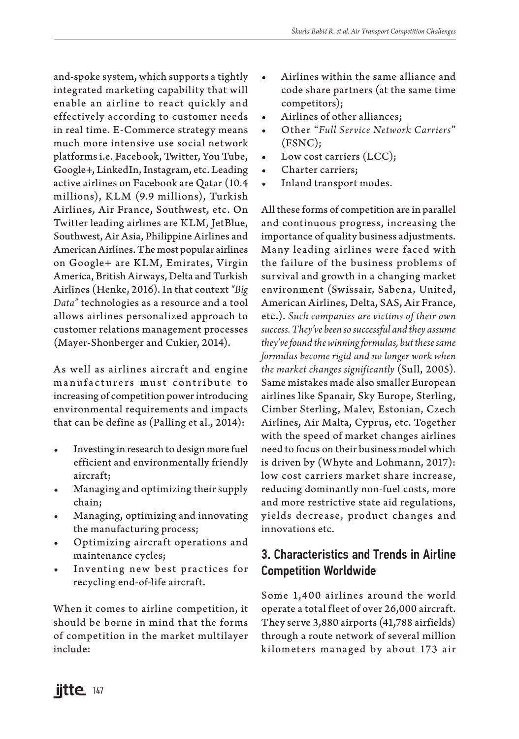and-spoke system, which supports a tightly integrated marketing capability that will enable an airline to react quickly and effectively according to customer needs in real time. E-Commerce strategy means much more intensive use social network platforms i.e. Facebook, Twitter, You Tube, Google+, LinkedIn, Instagram, etc. Leading active airlines on Facebook are Qatar (10.4 millions), KLM (9.9 millions), Turkish Airlines, Air France, Southwest, etc. On Twitter leading airlines are KLM, JetBlue, Southwest, Air Asia, Philippine Airlines and American Airlines. The most popular airlines on Google+ are KLM, Emirates, Virgin America, British Airways, Delta and Turkish Airlines (Henke, 2016). In that context *"Big Data"* technologies as a resource and a tool allows airlines personalized approach to customer relations management processes (Mayer-Shonberger and Cukier, 2014).

As well as airlines aircraft and engine manufacturers must contribute to increasing of competition power introducing environmental requirements and impacts that can be define as (Palling et al., 2014):

- Investing in research to design more fuel efficient and environmentally friendly aircraft;
- Managing and optimizing their supply chain;
- Managing, optimizing and innovating the manufacturing process;
- Optimizing aircraft operations and maintenance cycles;
- Inventing new best practices for recycling end-of-life aircraft.

When it comes to airline competition, it should be borne in mind that the forms of competition in the market multilayer include:

- Airlines within the same alliance and code share partners (at the same time competitors);
- Airlines of other alliances;
- Other "*Full Service Network Carriers*" (FSNC);
- Low cost carriers (LCC);
- Charter carriers;
- Inland transport modes.

All these forms of competition are in parallel and continuous progress, increasing the importance of quality business adjustments. Many leading airlines were faced with the failure of the business problems of survival and growth in a changing market environment (Swissair, Sabena, United, American Airlines, Delta, SAS, Air France, etc.). *Such companies are victims of their own success. They've been so successful and they assume they've found the winning formulas, but these same formulas become rigid and no longer work when the market changes significantly* (Sull, 2005)*.*  Same mistakes made also smaller European airlines like Spanair, Sky Europe, Sterling, Cimber Sterling, Malev, Estonian, Czech Airlines, Air Malta, Cyprus, etc. Together with the speed of market changes airlines need to focus on their business model which is driven by (Whyte and Lohmann, 2017): low cost carriers market share increase, reducing dominantly non-fuel costs, more and more restrictive state aid regulations, y ields decrease, product changes and innovations etc.

# 3. Characteristics and Trends in Airline Competition Worldwide

Some 1,400 airlines around the world operate a total fleet of over 26,000 aircraft. They serve 3,880 airports (41,788 airfields) through a route network of several million k ilometers managed by about 173 air

**iitte** 147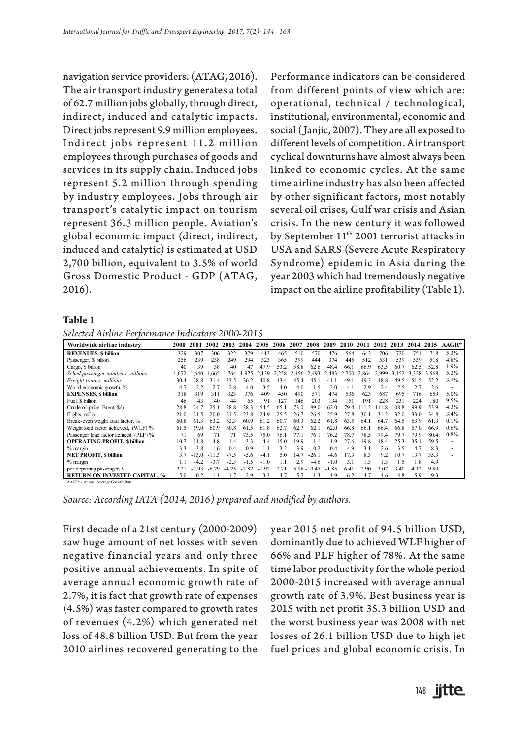navigation service providers. (ATAG, 2016). The air transport industry generates a total of 62.7 million jobs globally, through direct, indirect, induced and catalytic impacts. Direct jobs represent 9.9 million employees. Indirect jobs represent 11.2 million employees through purchases of goods and services in its supply chain. Induced jobs represent 5.2 million through spending by industry employees. Jobs through air transport's catalytic impact on tourism represent 36.3 million people. Aviation's global economic impact (direct, indirect, induced and catalytic) is estimated at USD 2,700 billion, equivalent to 3.5% of world Gross Domestic Product - GDP (ATAG, 2016).

Performance indicators can be considered from different points of view which are: operational, technical / technological, institutional, environmental, economic and social (Janjic, 2007). They are all exposed to different levels of competition. Air transport cyclical downturns have almost always been linked to economic cycles. At the same time airline industry has also been affected by other significant factors, most notably several oil crises, Gulf war crisis and Asian crisis. In the new century it was followed by September 11<sup>th</sup> 2001 terrorist attacks in USA and SARS (Severe Acute Respiratory Syndrome) epidemic in Asia during the year 2003 which had tremendously negative impact on the airline profitability (Table 1).

#### **Table 1**

*Selected Airline Performance Indicators 2000-2015* 

| Worldwide airline industry             | 2000  | 2001    | 2002    | 2003    | 2004    | 2005           | 2006  | 2007  | 2008           | 2009    | 2010  | 2011  | 2012  | 2013  | 2014  | 2015  | AAGR* |
|----------------------------------------|-------|---------|---------|---------|---------|----------------|-------|-------|----------------|---------|-------|-------|-------|-------|-------|-------|-------|
| <b>REVENUES, \$ billion</b>            | 329   | 307     | 306     | 322     | 379     | 413            | 465   | 510   | 570            | 476     | 564   | 642   | 706   | 720   | 751   | 718   | 5.3%  |
| Passenger, \$ billion                  | 256   | 239     | 238     | 249     | 294     | 323            | 365   | 399   | 444            | 374     | 445   | 512   | 531   | 539   | 539   | 518   | 4.8%  |
| Cargo, \$ billion                      | 40    | 39      | 38      | 40      | 47      | 47.9           | 53.2  | 58.8  | 62.6           | 48.4    | 66.1  | 66.9  | 63.5  | 60.7  | 62.5  | 52.8  | 1.9%  |
| Sched passenger numbers, millions      | 1.672 | 640     | .665    | .764    | .975    | 139            | 2.258 | 2.456 | 2.493          | 2.483   | 2,700 | 2.864 | 2.999 | 3.152 | 3.328 | 3.568 | 5.2%  |
| Freight tonnes, millions               | 30.4  | 28.8    | 31.4    | 33.5    | 36.2    | 40.8           | 43.4  | 45.4  | 45             |         | 49.   | 49.3  | 48.8  | 49.5  | 51.5  | 52.2  | 3.7%  |
| World economic growth, %               | 4.7   | 2.2     | 2.7     | 2.8     | 4.0     | 3.5            | 4.0   | 4.0   | 1.5            | $-2.0$  | 4.1   | 2.9   | 2.4   | 2.5   | 2.7   | 2.6   |       |
| <b>EXPENSES, \$ billion</b>            | 318   | 319     | 311     | 323     | 376     | 409            | 450   | 490   | 571            | 474     | 536   | 623   | 687   | 695   | 716   | 659   | 5.0%  |
| Fuel. \$ billion                       | 46    | 43      | 40      | 44      | 65      | Q <sub>1</sub> | 127   | 146   | 203            | 134     | 151   | 191   | 228   | 231   | 224   | 180   | 9.5%  |
| Crude oil price, Brent, \$/b           | 28.8  | 247     | 25.1    | 28.8    | 38.3    | 54.5           | 65.1  | 73.0  | 99.0           | 62.0    | 79.4  | 1112  | - 11  | 108.8 | 99.9  | 53.9  | 4.3%  |
| Flights, million                       | 21.0  | 21.5    | 20.0    | 215     | 23.8    | 24.9           | 25.5  | 26.7  | 26.5           | 25.9    | 27.8  | 30.1  | 31.2  | 32.0  | 33.0  | 34.8  | 3.4%  |
| Break-even weight load factor, %       | 60.8  | 61.3    | 63.2    | 62.3    | 60.9    | 61.2           | 60.7  | 60.3  | 62.2           | 61.8    | 63.5  | 64.1  | 64.7  | 64.5  | 63.9  | 61.3  | 0.1%  |
| Weight load factor achieved, (WLF) %   | 61.5  | 59.0    | 60.9    | 60.8    | 61.5    | 61.8           | 62.7  | 62.7  | 62.1           | 62.0    | 66.8  | 66.1  | 66.4  | 66.8  | 67.0  | 66.9  | 0.6%  |
| Passenger load factor achieed, (PLF) % | 71    | 69      | 71      |         | 73.5    | 75.0           | 76.1  | 77.1  | 76.1           | 76.2    | 78.7  | 78.5  | 79.4  | 79.7  | 79.9  | 80.4  | 0.8%  |
| <b>OPERATING PROFIT, S billion</b>     | 10.7  | $-11.8$ | $-4.8$  | $-1.4$  | 3.3     | 4.4            | 15.0  | 19.9  | $-1.1$         | 1.9     | 27.6  | 19.8  | 18.4  | 25.3  | 35.1  | 59.5  |       |
| % margin                               | 3.3   | $-3.8$  | $-1.6$  | $-0.4$  | 0.9     | 1.1            | 3.2   | 3.9   | $-0.2$         | 0.4     | 4.9   | 3.1   | 2.6   | 3.5   | 4.7   | 8.3   |       |
| <b>NET PROFIT, \$ billion</b>          | 3.7   | 30      | $-11.3$ | $-7.5$  | $-5.6$  | $-4.1$         | 5.0   | 14.7  | $-26.1$        | $-4.6$  | 17.3  | 8.3   | 9.2   | 10.7  | 13.7  | 35.3  |       |
| $%$ margin                             |       | $-42$   | $-3.7$  | $-23$   | $-1.5$  | $-1.0$         |       | 2.9   | -46            | $-1.0$  | 3.1   | 1.3   | 1.3   | 15    | 1.8   | 4.9   |       |
| per departing passenger, \$            | 2.21  | $-7.93$ | $-6.79$ | $-4.25$ | $-2.82$ | .92            | 2.21  |       | $5.98 - 10.47$ | $-1.85$ | 6.41  | 2.90  | 3.07  | 3.40  | 4.12  | 9.89  |       |
| <b>RETURN ON INVESTED CAPITAL. %</b>   | 5.0   | 0.2     |         |         | 2.9     | 3.3            | 4.7   | 5.7   | 1.3            | 1.9     | 6.2   | 4.7   | 4.6   | 4.8   | 5.9   | 9.3   |       |

AAGR\* - Annual Average Growth Rate

*Source: According IATA (2014, 2016) prepared and modified by authors.*

First decade of a 21st century (2000-2009) saw huge amount of net losses with seven negative financial years and only three positive annual achievements. In spite of average annual economic growth rate of 2.7%, it is fact that growth rate of expenses (4.5%) was faster compared to growth rates of revenues (4.2%) which generated net loss of 48.8 billion USD. But from the year 2010 airlines recovered generating to the

year 2015 net profit of 94.5 billion USD, dominantly due to achieved WLF higher of 66% and PLF higher of 78%. At the same time labor productivity for the whole period 2000-2015 increased with average annual growth rate of 3.9%. Best business year is 2015 with net profit 35.3 billion USD and the worst business year was 2008 with net losses of 26.1 billion USD due to high jet fuel prices and global economic crisis. In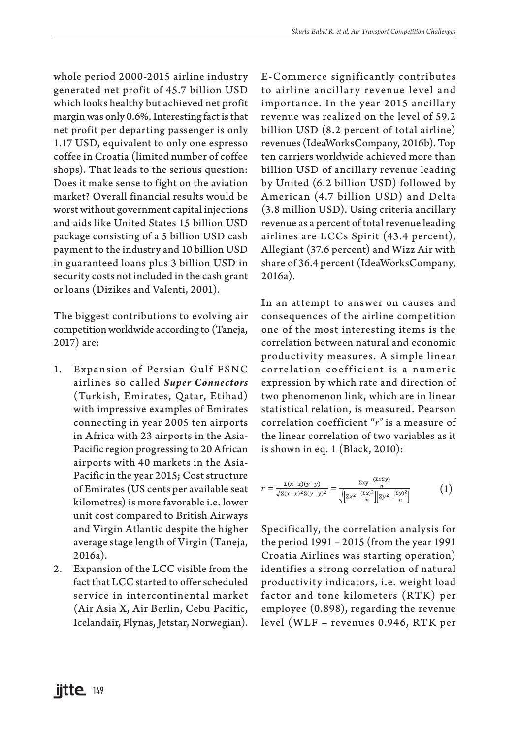whole period 2000-2015 airline industry generated net profit of 45.7 billion USD which looks healthy but achieved net profit margin was only 0.6%. Interesting fact is that net profit per departing passenger is only 1.17 USD, equivalent to only one espresso coffee in Croatia (limited number of coffee shops). That leads to the serious question: Does it make sense to fight on the aviation market? Overall financial results would be worst without government capital injections and aids like United States 15 billion USD package consisting of a 5 billion USD cash payment to the industry and 10 billion USD in guaranteed loans plus 3 billion USD in security costs not included in the cash grant or loans (Dizikes and Valenti, 2001).

The biggest contributions to evolving air competition worldwide according to (Taneja, 2017) are:

- 1. Ex pansion of Persian Gulf FSNC airlines so called *Super Connectors* (Turkish, Emirates, Qatar, Etihad) with impressive examples of Emirates connecting in year 2005 ten airports in Africa with 23 airports in the Asia-Pacific region progressing to 20 African airports with 40 markets in the Asia-Pacific in the year 2015; Cost structure of Emirates (US cents per available seat kilometres) is more favorable i.e. lower unit cost compared to British Airways and Virgin Atlantic despite the higher average stage length of Virgin (Taneja, 2016a).
- 2. Expansion of the LCC visible from the fact that LCC started to offer scheduled service in intercontinental market (Air Asia X, Air Berlin, Cebu Pacific, Icelandair, Flynas, Jetstar, Norwegian).

E-Commerce significantly contributes to airline ancillary revenue level and importance. In the year 2015 ancillary revenue was realized on the level of 59.2 billion USD (8.2 percent of total airline) revenues (IdeaWorksCompany, 2016b). Top ten carriers worldwide achieved more than billion USD of ancillary revenue leading by United (6.2 billion USD) followed by American (4.7 billion USD) and Delta (3.8 million USD). Using criteria ancillary revenue as a percent of total revenue leading airlines are LCCs Spirit (43.4 percent), Allegiant (37.6 percent) and Wizz Air with share of 36.4 percent (IdeaWorksCompany, 2016a).

In an attempt to answer on causes and consequences of the airline competition one of the most interesting items is the correlation between natural and economic productivity measures. A simple linear correlation coefficient is a numeric expression by which rate and direction of two phenomenon link, which are in linear statistical relation, is measured. Pearson correlation coefficient "*r"* is a measure of the linear correlation of two variables as it is shown in eq. 1 (Black, 2010):

$$
r = \frac{\Sigma(x-\bar{x})(y-\bar{y})}{\sqrt{\Sigma(x-\bar{x})^2\Sigma(y-\bar{y})^2}} = \frac{\Sigma xy - \frac{(\Sigma x\Sigma y)}{n}}{\sqrt{\left[\Sigma x^2 - \frac{(\Sigma x)^2}{n}\right] \left[\Sigma y^2 - \frac{(\Sigma y)^2}{n}\right]}}\tag{1}
$$

Specifically, the correlation analysis for the period 1991 – 2015 (from the year 1991 Croatia Airlines was starting operation) identifies a strong correlation of natural productivity indicators, i.e. weight load factor and tone kilometers (RTK) per employee (0.898), regarding the revenue level (WLF – revenues 0.946, RTK per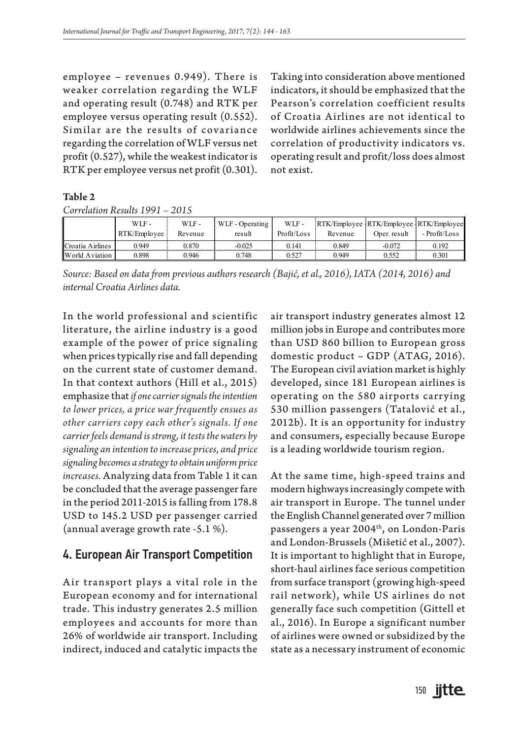employee – revenues 0.949). There is weaker correlation regarding the WLF and operating result (0.748) and RTK per employee versus operating result (0.552). Similar are the results of covariance regarding the correlation of WLF versus net profit (0.527), while the weakest indicator is RTK per employee versus net profit (0.301). Taking into consideration above mentioned indicators, it should be emphasized that the Pearson's correlation coefficient results of Croatia Airlines are not identical to worldwide airlines achievements since the correlation of productivity indicators vs. operating result and profit/loss does almost not exist.

#### **Table 2**

*Correlation Results 1991 – 2015*

|                       | WLF -<br>RTK/Employee | WLF -<br>Revenue | WLF - Operating<br>result | WLF-<br>Profit/Loss | RTK/Employee RTK/Employee RTK/Employee<br>Revenue | Oper. result | - Profit/Loss |
|-----------------------|-----------------------|------------------|---------------------------|---------------------|---------------------------------------------------|--------------|---------------|
| Croatia Airlines      | 0.949                 | 0.870            | $-0.025$                  | 0.141               | 0.849                                             | $-0.072$     | 0.192         |
| <b>World Aviation</b> | 0.898                 | 0.946            | 0.748                     | 0.527               | 0.949                                             | 0.552        | 0.301         |

*Source: Based on data from previous authors research (Bajić, et al., 2016), IATA (2014, 2016) and internal Croatia Airlines data.*

In the world professional and scientific literature, the airline industry is a good example of the power of price signaling when prices typically rise and fall depending on the current state of customer demand. In that context authors (Hill et al., 2015) emphasize that *if one carrier signals the intention to lower prices, a price war frequently ensues as other carriers copy each other's signals. If one carrier feels demand is strong, it tests the waters by signaling an intention to increase prices, and price signaling becomes a strategy to obtain uniform price increases.* Analyzing data from Table 1 it can be concluded that the average passenger fare in the period 2011-2015 is falling from 178.8 USD to 145.2 USD per passenger carried (annual average growth rate -5.1 %).

### 4. European Air Transport Competition

Air transport plays a vital role in the European economy and for international trade. This industry generates 2.5 million employees and accounts for more than 26% of worldwide air transport. Including indirect, induced and catalytic impacts the

air transport industry generates almost 12 million jobs in Europe and contributes more than USD 860 billion to European gross domestic product – GDP (ATAG, 2016). The European civil aviation market is highly developed, since 181 European airlines is operating on the 580 airports carrying 530 million passengers (Tatalović et al., 2012b). It is an opportunity for industry and consumers, especially because Europe is a leading worldwide tourism region.

At the same time, high-speed trains and modern highways increasingly compete with air transport in Europe. The tunnel under the English Channel generated over 7 million passengers a year 2004<sup>th</sup>, on London-Paris and London-Brussels (Mišetić et al., 2007). It is important to highlight that in Europe, short-haul airlines face serious competition from surface transport (growing high-speed rail network), while US airlines do not generally face such competition (Gittell et al., 2016). In Europe a significant number of airlines were owned or subsidized by the state as a necessary instrument of economic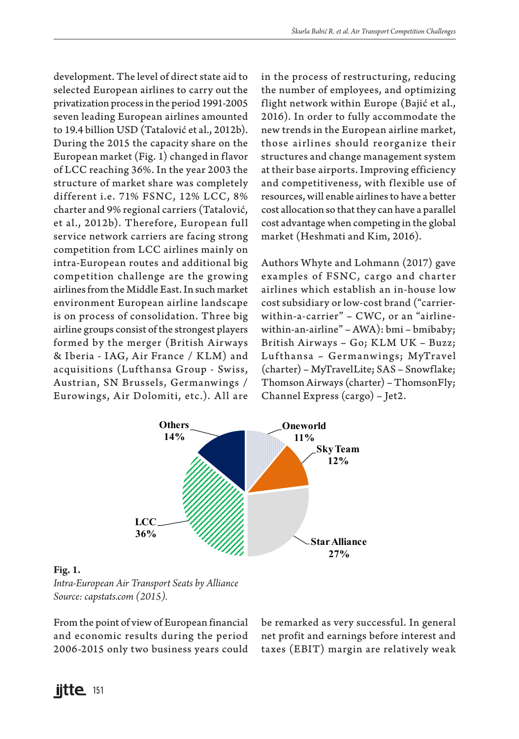development. The level of direct state aid to selected European airlines to carry out the privatization process in the period 1991-2005 seven leading European airlines amounted to 19.4 billion USD (Tatalović et al., 2012b). During the 2015 the capacity share on the European market (Fig. 1) changed in flavor of LCC reaching 36%. In the year 2003 the structure of market share was completely different i.e. 71% FSNC, 12% LCC, 8% charter and 9% regional carriers (Tatalović, et al., 2012b). Therefore, European full service network carriers are facing strong competition from LCC airlines mainly on intra-European routes and additional big competition challenge are the growing airlines from the Middle East. In such market environment European airline landscape is on process of consolidation. Three big airline groups consist of the strongest players formed by the merger (British Airways & Iberia - IAG, Air France / KLM) and acquisitions (Lufthansa Group - Swiss, Austrian, SN Brussels, Germanwings / Eurowings, Air Dolomiti, etc.). All are in the process of restructuring, reducing the number of employees, and optimizing flight network within Europe (Bajić et al., 2016). In order to fully accommodate the new trends in the European airline market, those airlines should reorganize their structures and change management system at their base airports. Improving efficiency and competitiveness, with flexible use of resources, will enable airlines to have a better cost allocation so that they can have a parallel cost advantage when competing in the global market (Heshmati and Kim, 2016).

Authors Whyte and Lohmann (2017) gave examples of FSNC, cargo and charter airlines which establish an in-house low cost subsidiary or low-cost brand ("carrierwithin-a-carrier" – CWC, or an "airlinewithin-an-airline" – AWA): bmi – bmibaby; British Airways – Go; KLM UK – Buzz; Lufthansa – Germanwings; MyTravel (charter) – MyTravelLite; SAS – Snowflake; Thomson Airways (charter) – ThomsonFly; Channel Express (cargo) – Jet2.



#### **Fig. 1.**

*Intra-European Air Transport Seats by Alliance Source: capstats.com (2015).* 

From the point of view of European financial and economic results during the period 2006-2015 only two business years could be remarked as very successful. In general net profit and earnings before interest and taxes (EBIT) margin are relatively weak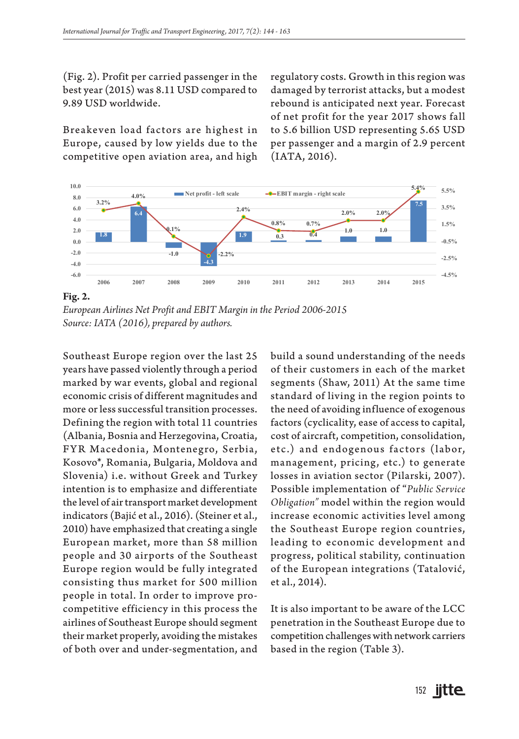(Fig. 2). Profit per carried passenger in the best year (2015) was 8.11 USD compared to 9.89 USD worldwide.

Breakeven load factors are highest in Europe, caused by low yields due to the competitive open aviation area, and high

regulatory costs. Growth in this region was damaged by terrorist attacks, but a modest rebound is anticipated next year. Forecast of net profit for the year 2017 shows fall to 5.6 billion USD representing 5.65 USD per passenger and a margin of 2.9 percent (IATA, 2016).



*European Airlines Net Profit and EBIT Margin in the Period 2006-2015 Source: IATA (2016), prepared by authors.*

Southeast Europe region over the last 25 years have passed violently through a period marked by war events, global and regional economic crisis of different magnitudes and more or less successful transition processes. Defining the region with total 11 countries (Albania, Bosnia and Herzegovina, Croatia, FYR Macedonia, Montenegro, Serbia, Kosovo\*, Romania, Bulgaria, Moldova and Slovenia) i.e. without Greek and Turkey intention is to emphasize and differentiate the level of air transport market development indicators (Bajić et al., 2016). (Steiner et al., 2010) have emphasized that creating a single European market, more than 58 million people and 30 airports of the Southeast Europe region would be fully integrated consisting thus market for 500 million people in total. In order to improve procompetitive efficiency in this process the airlines of Southeast Europe should segment their market properly, avoiding the mistakes of both over and under-segmentation, and

build a sound understanding of the needs of their customers in each of the market segments (Shaw, 2011) At the same time standard of living in the region points to the need of avoiding influence of exogenous factors (cyclicality, ease of access to capital, cost of aircraft, competition, consolidation, etc.) and endogenous factors (labor, management, pricing, etc.) to generate losses in aviation sector (Pilarski, 2007). Possible implementation of "*Public Service Obligation"* model within the region would increase economic activities level among the Southeast Europe region countries, leading to economic development and progress, political stability, continuation of the European integrations (Tatalović, et al., 2014).

It is also important to be aware of the LCC penetration in the Southeast Europe due to competition challenges with network carriers based in the region (Table 3).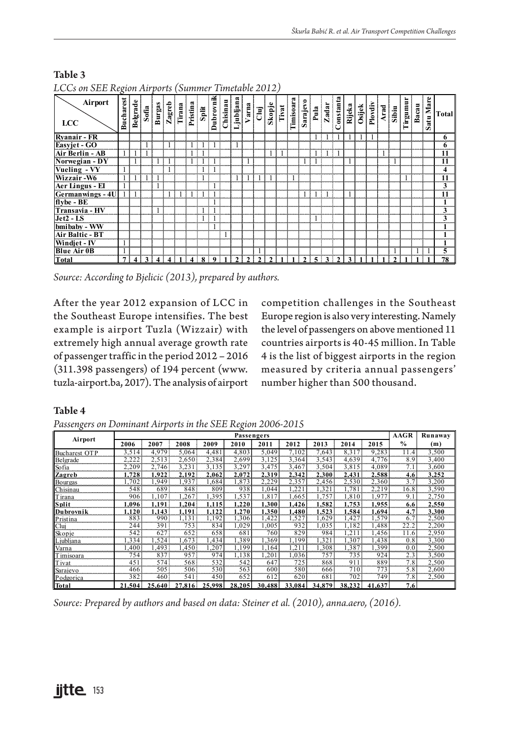| LCCs on SEE Region Airports (Summer Timetable 2012) |                  |          |       |        |               |        |          |       |              |          |           |                        |                    |        |       |           |         |      |       |               |        |        |         |                                    |            |       |                      |                                 |
|-----------------------------------------------------|------------------|----------|-------|--------|---------------|--------|----------|-------|--------------|----------|-----------|------------------------|--------------------|--------|-------|-----------|---------|------|-------|---------------|--------|--------|---------|------------------------------------|------------|-------|----------------------|---------------------------------|
| Airport<br>LCC                                      | <b>Bucharest</b> | Belgrade | Sofia | Burgas | $\frac{Z}{2}$ | Tirana | Pristina | Split | Dubrovnik    | Chisinau | Ljubljana | Varna                  | $\frac{1}{2}$      | Skopje | Tivat | Timisoara | Sarajev | Pula | Zadar | Constanta     | Rijeka | Osijek | Plovdiv | $\frac{\text{Area}}{\text{Sibin}}$ | umman<br>⊨ | Bacau | are<br>z<br>atu<br>Ø | Total                           |
| <b>Ryanair - FR</b>                                 |                  |          |       |        |               |        |          |       |              |          |           |                        |                    |        |       |           |         |      |       |               |        |        |         |                                    |            |       |                      | 6                               |
| Easyjet - GO                                        |                  |          |       |        |               |        |          |       |              |          |           |                        |                    |        |       |           |         |      |       |               |        |        |         |                                    |            |       |                      | $\mathbf o$<br>eren ere         |
| Air Berlin - AB                                     |                  |          |       |        |               |        |          |       |              |          |           |                        |                    |        |       |           |         |      |       |               |        |        |         |                                    |            |       |                      | 11<br>monmon                    |
| Norwegian - DY                                      |                  |          |       |        |               |        |          |       |              |          |           |                        |                    |        |       |           |         |      |       |               |        |        |         |                                    |            |       |                      | 11                              |
| Vueling - VY                                        |                  |          |       |        |               |        |          |       |              |          |           |                        |                    |        |       |           |         |      |       |               |        |        |         |                                    |            |       |                      | 4                               |
| Wizzair-W6                                          |                  |          |       |        |               |        |          |       |              |          |           |                        |                    |        |       |           |         |      |       |               |        |        |         |                                    |            |       |                      | 11                              |
| <b>Aer Lingus - El</b>                              |                  |          |       |        |               |        |          |       |              |          |           |                        |                    |        |       |           |         |      |       |               |        |        |         |                                    |            |       |                      | 3<br>000000000                  |
| Germanwings - 4U                                    |                  |          |       |        |               |        |          |       |              |          |           |                        |                    |        |       |           |         |      |       |               |        |        |         |                                    |            |       |                      | 11                              |
| flybe - BE                                          |                  |          |       |        |               |        |          |       |              |          |           |                        |                    |        |       |           |         |      |       |               |        |        |         |                                    |            |       |                      |                                 |
| Transavia - HV                                      |                  |          |       |        |               |        |          |       |              |          |           |                        |                    |        |       |           |         |      |       |               |        |        |         |                                    |            |       |                      | 3<br>,,,,,, <del>,</del> ,,,,,, |
| $Jet2 - LS$                                         |                  |          |       |        |               |        |          |       |              |          |           |                        |                    |        |       |           |         |      |       |               |        |        |         |                                    |            |       |                      |                                 |
| bmibaby - WW                                        |                  |          |       |        |               |        |          |       |              |          |           |                        |                    |        |       |           |         |      |       |               |        |        |         |                                    |            |       |                      |                                 |
| Air Baltic - BT                                     |                  |          |       |        |               |        |          |       |              |          |           |                        |                    |        |       |           |         |      |       |               |        |        |         |                                    |            |       |                      |                                 |
| Windjet - IV                                        |                  |          |       |        |               |        |          |       |              |          |           |                        |                    |        |       |           |         |      |       |               |        |        |         |                                    |            |       |                      | <b>ALCOHOL:</b>                 |
| <b>Blue Air 0B</b>                                  |                  |          |       |        |               |        |          |       |              |          |           |                        |                    |        |       |           |         |      |       |               |        |        |         |                                    |            |       |                      |                                 |
| Total                                               | 7                | Δ        | 3     |        |               |        |          | 8     | $\mathbf{o}$ |          | າ         | $\mathbf{\mathcal{D}}$ | $\mathbf{\hat{z}}$ |        |       |           | ຳ       | 5    | 3     | $\rightarrow$ |        |        |         |                                    |            |       |                      | 78                              |

#### **Table 3**  $LCA$  on  $B = \{1, 2012\}$

*Source: According to Bjelicic (2013), prepared by authors.* 

After the year 2012 expansion of LCC in the Southeast Europe intensifies. The best example is airport Tuzla (Wizzair) with extremely high annual average growth rate of passenger traffic in the period 2012 – 2016 (311.398 passengers) of 194 percent (www. tuzla-airport.ba, 2017). The analysis of airport competition challenges in the Southeast Europe region is also very interesting. Namely the level of passengers on above mentioned 11 countries airports is 40-45 million. In Table 4 is the list of biggest airports in the region measured by criteria annual passengers' number higher than 500 thousand.

**Table 4**

| Passengers on Dominant Airports in the SEE Region 2006-2015 |  |
|-------------------------------------------------------------|--|
|-------------------------------------------------------------|--|

| $\circ$              |        |        |        |        | ◦<br>Passengers |        |                     |                |        |        | <b>AAGR</b>    | Runaway |
|----------------------|--------|--------|--------|--------|-----------------|--------|---------------------|----------------|--------|--------|----------------|---------|
| Airport              | 2006   | 2007   | 2008   | 2009   | 2010            | 2011   | 2012                | 2013           | 2014   | 2015   | $\frac{0}{0}$  | (m)     |
| <b>Bucharest OTP</b> | 3.514  | 4.979  | 5.064  | 4.481  | 4.803           | 5.049  | 7.102               | 7.643          | 8.317  | 9.283  | 11.4           | 3.500   |
| Belgrade             | 2.222  | 2.513  | 2.650  | 2.384  | 2.699           | 3.125  | 3,364               | 3.543          | 4.639  | 4.776  | 8.9            | 3,400   |
| Sofia                | 2.209  | 2.746  | 3,231  | 3.135  | 3,297           | 3.475  | 3,467               | 3.504          | 3.815  | 4.089  | 7.1            | 3,600   |
| <b>Zagreb</b>        | 1.728  | .922   | 2.192  | 2.062  | 2.072           | 2.319  | 2.342               | 2.300          | 2.431  | 2.588  | 4.6            | 3.252   |
| Bourgas              | .702   | 1.949  | 1,937  | 1.684  | 1.873           | 2.229  | 2.357               | 2.456          | 2.530  | 2.360  | 3.7            | 3.200   |
| Chisinau             | 548    | 689    | 848    | 809    | 938             | 1.044  | 221. ا              | 1,321          | 1.781  | 2.219  | 16.8           | 3,590   |
| <b>Tirana</b>        | 906    | .107   | .267   | .395   | 1.537           | 1.817  | .665                | 1,757          | 1.810  | 1.977  | 9.1            | 2,750   |
| Split                | .096   | 1.191  | 1.204  | 1.115  | 1.220           | 1.300  | 1.426               | 1.582          | 1.753  | 1.955  | 6.6            | 2,550   |
| <b>Dubrovnik</b>     | 1.120  | .143   | 1.191  | 1.122  | 1.270           | 1.350  | l.480               | 1.523          | 1.584  | 1.694  | 4.7            | 3,300   |
| Pristina             | 883    | 990    | 1.131  | 1.192  | 1.306           | .422   | 1,527               | 1.629          | 1.427  | 1.579  | 6.7            | 2,500   |
| Clui                 | 244    | 391    | 753    | 834    | 1.029           | 1.005  | 932                 | 1.035          | 1,182  | .488   | 22.2           | 2,200   |
| Skopje               | 542    | 627    | 652    | 658    | 681             | 760    | 829                 | 984            | .211   | 456. ا | 11.6           | 2,950   |
| Ljubljana            | , 334  | .524   | .673   | .434   | 1.389           | 1.369  | 1.199               | .321           | .307   | .438   | 0.8            | 3,300   |
| Varna                | .400   | .493   | l.450  | .207   | 1.199           | 1.164  | 1.211               | 1.308          | 1.387  | 1.399  | 0.0            | 2,500   |
| Timisoara            | 754    | 837    | 957    | 974    | 1.138           | 1.201  | 1,036               | 757<br>------- | 735    | 924    | 2.3<br>---     | 3,500   |
| Tivat                | 451    | 574    | 568    | 532    | 542             | 647    | 725<br>,,,,,,,,,,,, | 868            | 911    | 889    | 7.8<br>0000000 | 2,500   |
| Sarajevo             | 466    | 505    | 506    | 530    | 563             | 600    | 580                 | 666            | 710    | 773    | 5.8            | 2,600   |
| Podgorica            | 382    | 460    | 541    | 450    | 652             | 612    | 620                 | 681            | 702    | 749    | 7.8            | 2,500   |
| Total                | 21.504 | 25.640 | 27,816 | 25,998 | 28.2051         | 30.488 | 33,084              | 34,879         | 38.232 | 41.637 | 7.6            |         |

*Source: Prepared by authors and based on data: Steiner et al. (2010), anna.aero, (2016).*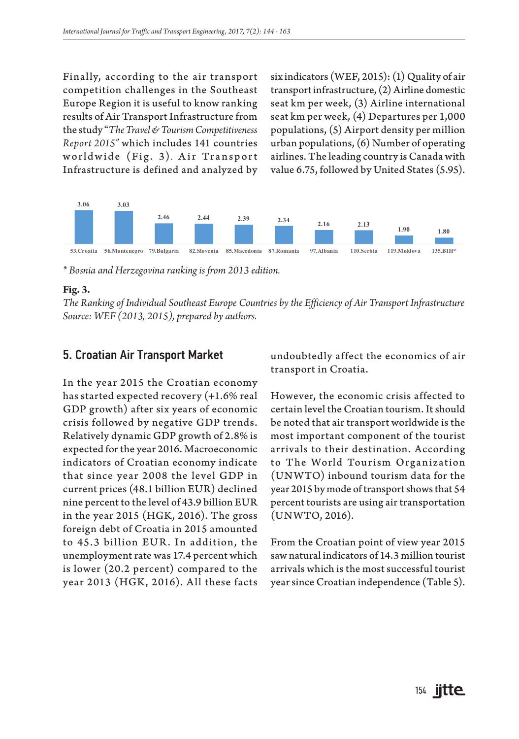Finally, according to the air transport competition challenges in the Southeast Europe Region it is useful to know ranking results of Air Transport Infrastructure from the study "*The Travel & Tourism Competitiveness Report 2015"* which includes 141 countries worldwide (Fig. 3). Air Transport Infrastructure is defined and analyzed by six indicators (WEF, 2015): (1) Quality of air transport infrastructure, (2) Airline domestic seat km per week, (3) Airline international seat km per week, (4) Departures per 1,000 populations, (5) Airport density per million urban populations, (6) Number of operating airlines. The leading country is Canada with value 6.75, followed by United States (5.95).



*\* Bosnia and Herzegovina ranking is from 2013 edition.*

#### **Fig. 3.**

*The Ranking of Individual Southeast Europe Countries by the Efficiency of Air Transport Infrastructure Source: WEF (2013, 2015), prepared by authors.*

### 5. Croatian Air Transport Market

In the year 2015 the Croatian economy has started expected recovery (+1.6% real GDP growth) after six years of economic crisis followed by negative GDP trends. Relatively dynamic GDP growth of 2.8% is expected for the year 2016. Macroeconomic indicators of Croatian economy indicate that since year 2008 the level GDP in current prices (48.1 billion EUR) declined nine percent to the level of 43.9 billion EUR in the year 2015 (HGK, 2016). The gross foreign debt of Croatia in 2015 amounted to 45.3 billion EUR . In addition, the unemployment rate was 17.4 percent which is lower (20.2 percent) compared to the year 2013 (HGK, 2016). All these facts

undoubtedly affect the economics of air transport in Croatia.

However, the economic crisis affected to certain level the Croatian tourism. It should be noted that air transport worldwide is the most important component of the tourist arrivals to their destination. According to The World Tourism Organization (UNWTO) inbound tourism data for the year 2015 by mode of transport shows that 54 percent tourists are using air transportation (UNWTO, 2016).

From the Croatian point of view year 2015 saw natural indicators of 14.3 million tourist arrivals which is the most successful tourist year since Croatian independence (Table 5).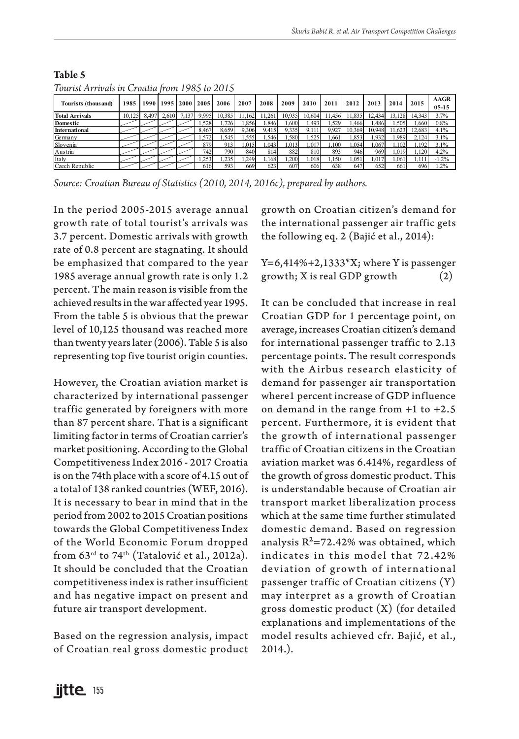| TUUTIST AHTIVUIS IN CHUUIIU MUNTTI 200 IU 2010 |        |       |       |           |       |        |        |        |        |        |        |        |        |        |        |                   |
|------------------------------------------------|--------|-------|-------|-----------|-------|--------|--------|--------|--------|--------|--------|--------|--------|--------|--------|-------------------|
| Tourists (thous and)                           | 1985   | 1990  |       | 1995 2000 | 2005  | 2006   | 2007   | 2008   | 2009   | 2010   | 2011   | 2012   | 2013   | 2014   | 2015   | AAGR<br>$05 - 15$ |
| <b>Total Arrivals</b>                          | 10.125 | 8.497 | 2.610 | 7.137     | 9.995 | 10.385 | 11.162 | 11.261 | 10.935 | 10.604 | 11.456 | 11.835 | 12.434 | 13.128 | 14.343 | 3.7%              |
| <b>Domestic</b>                                |        |       |       |           | .528  | .726   | .856   | .846   | 1.600  | 1.493  | .529   | .466   | .486   | .505   | .660   | 0.8%              |
| <b>International</b>                           |        |       |       |           | 8467  | 8.659  | 9.306  | 9.415  | 9335   |        | 9.92   | 369    | 10 948 | 623    | 12.683 | 4.1%              |
| Germany                                        |        |       |       |           | .572  | .545   | .555   | .546   | .580   | 1.525  | 661    | .853   | .932   | .989   | 2.124  | 3.1%              |
| Slovenia                                       |        |       |       |           | 879   | 913    | 1.015  | .043   | 1.013  | 1.017  | .100   | 1.054  | 1.067  | 1.102  | 1.192  | 3.1%              |
| Austria                                        |        |       |       |           | 7421  | 790    | 840    | 814    | 882    | 810    | 893    | 946    | 969    | .019   | .120   | 4.2%              |
| Italy                                          |        |       |       |           | .253  | .235   | .249   | .168   | .200   | 1.018  | .150   | .051   | 1.017  | .061   | ı.111  | $-1.2%$           |
| Czech Republic                                 |        |       |       |           | 616   | 593    | 669    | 623    | 607    | 606    | 638    | 647    | 652    | 661    | 696    | $1.2\%$           |

#### **Table 5** *Tourist Arrivals in Croatia from 1985 to 2015*

*Source: Croatian Bureau of Statistics (2010, 2014, 2016c), prepared by authors.*

In the period 2005-2015 average annual growth rate of total tourist's arrivals was 3.7 percent. Domestic arrivals with growth rate of 0.8 percent are stagnating. It should be emphasized that compared to the year 1985 average annual growth rate is only 1.2 percent. The main reason is visible from the achieved results in the war affected year 1995. From the table 5 is obvious that the prewar level of 10,125 thousand was reached more than twenty years later (2006). Table 5 is also representing top five tourist origin counties.

However, the Croatian aviation market is characterized by international passenger traffic generated by foreigners with more than 87 percent share. That is a significant limiting factor in terms of Croatian carrier's market positioning. According to the Global Competitiveness Index 2016 - 2017 Croatia is on the 74th place with a score of 4.15 out of a total of 138 ranked countries (WEF, 2016). It is necessary to bear in mind that in the period from 2002 to 2015 Croatian positions towards the Global Competitiveness Index of the World Economic Forum dropped from 63<sup>rd</sup> to 74<sup>th</sup> (Tatalović et al., 2012a). It should be concluded that the Croatian competitiveness index is rather insufficient and has negative impact on present and future air transport development.

Based on the regression analysis, impact of Croatian real gross domestic product growth on Croatian citizen's demand for the international passenger air traffic gets the following eq. 2 (Bajić et al., 2014):

 $Y=6,414\%+2,1333*X;$  where Y is passenger growth;  $X$  is real GDP growth  $(2)$ 

It can be concluded that increase in real Croatian GDP for 1 percentage point, on average, increases Croatian citizen's demand for international passenger traffic to 2.13 percentage points. The result corresponds with the Airbus research elasticity of demand for passenger air transportation where1 percent increase of GDP influence on demand in the range from +1 to +2.5 percent. Furthermore, it is evident that the growth of international passenger traffic of Croatian citizens in the Croatian aviation market was 6.414%, regardless of the growth of gross domestic product. This is understandable because of Croatian air transport market liberalization process which at the same time further stimulated domestic demand. Based on regression analysis  $R^2 = 72.42\%$  was obtained, which indicates in this model that 72.42% deviation of growth of international passenger traffic of Croatian citizens (Y) may interpret as a growth of Croatian gross domestic product (X) (for detailed explanations and implementations of the model results achieved cfr. Bajić, et al., 2014.).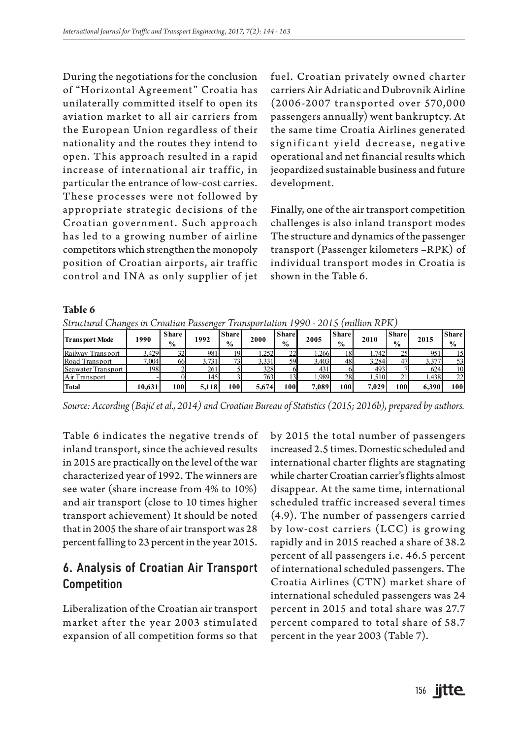During the negotiations for the conclusion of "Horizontal Agreement" Croatia has unilaterally committed itself to open its aviation market to all air carriers from the European Union regardless of their nationality and the routes they intend to open. This approach resulted in a rapid increase of international air traffic, in particular the entrance of low-cost carries. These processes were not followed by appropriate strategic decisions of the Croatian government. Such approach has led to a growing number of airline competitors which strengthen the monopoly position of Croatian airports, air traffic control and INA as only supplier of jet fuel. Croatian privately owned charter carriers Air Adriatic and Dubrovnik Airline (2006-2007 transported over 570,000 passengers annually) went bankruptcy. At the same time Croatia Airlines generated significant yield decrease, negative operational and net financial results which jeopardized sustainable business and future development.

Finally, one of the air transport competition challenges is also inland transport modes The structure and dynamics of the passenger transport (Passenger kilometers –RPK) of individual transport modes in Croatia is shown in the Table 6.

| Table 6                                                                                                                                                                                                                                                              |        |     |       |      |       |     |       |     |       |     |       |      |  |  |
|----------------------------------------------------------------------------------------------------------------------------------------------------------------------------------------------------------------------------------------------------------------------|--------|-----|-------|------|-------|-----|-------|-----|-------|-----|-------|------|--|--|
| Structural Changes in Croatian Passenger Transportation 1990 - 2015 (million RPK)                                                                                                                                                                                    |        |     |       |      |       |     |       |     |       |     |       |      |  |  |
| <b>Share</b><br><b>Share</b><br><b>Share</b><br>Share<br><b>Share</b><br><b>Share</b><br>1992<br>2000<br>1990<br>2005<br><b>Transport Mode</b><br>2010<br>2015<br>$\frac{6}{9}$<br>$\frac{0}{2}$<br>$\frac{6}{9}$<br>$\frac{0}{0}$<br>$\frac{0}{0}$<br>$\frac{0}{2}$ |        |     |       |      |       |     |       |     |       |     |       |      |  |  |
| Railway Transport                                                                                                                                                                                                                                                    | 3.429  | 32  | 981   | 19   | 1.252 | 22  | 1.266 |     | 1.742 | 25  | 951   | 15   |  |  |
| Road Transport                                                                                                                                                                                                                                                       | 7.004  | 66  | 3.731 | 73   | 3.331 | 59  | 3.403 | 48  | 3.284 | 47  | 3.377 | 53   |  |  |
| Seawater Transport                                                                                                                                                                                                                                                   | 198    |     | 261   |      | 328   |     | 431   |     | 493   |     | 624   | 10   |  |  |
| Air Transport                                                                                                                                                                                                                                                        |        |     | 145   |      | 763   |     | .989  | 28  | .510  |     | 1.438 | 22   |  |  |
| <b>Total</b>                                                                                                                                                                                                                                                         | 10.631 | 100 | 5.118 | 100I | 5.674 | 100 | 7.089 | 100 | 7.029 | 100 | 6.390 | 100l |  |  |

*Source: According (Bajić et al., 2014) and Croatian Bureau of Statistics (2015; 2016b), prepared by authors.*

Table 6 indicates the negative trends of inland transport, since the achieved results in 2015 are practically on the level of the war characterized year of 1992. The winners are see water (share increase from 4% to 10%) and air transport (close to 10 times higher transport achievement) It should be noted that in 2005 the share of air transport was 28 percent falling to 23 percent in the year 2015.

# 6. Analysis of Croatian Air Transport Competition

Liberalization of the Croatian air transport market after the year 2003 stimulated expansion of all competition forms so that

by 2015 the total number of passengers increased 2.5 times. Domestic scheduled and international charter flights are stagnating while charter Croatian carrier's flights almost disappear. At the same time, international scheduled traffic increased several times (4.9). The number of passengers carried by low-cost carriers (LCC) is growing rapidly and in 2015 reached a share of 38.2 percent of all passengers i.e. 46.5 percent of international scheduled passengers. The Croatia Airlines (CTN) market share of international scheduled passengers was 24 percent in 2015 and total share was 27.7 percent compared to total share of 58.7 percent in the year 2003 (Table 7).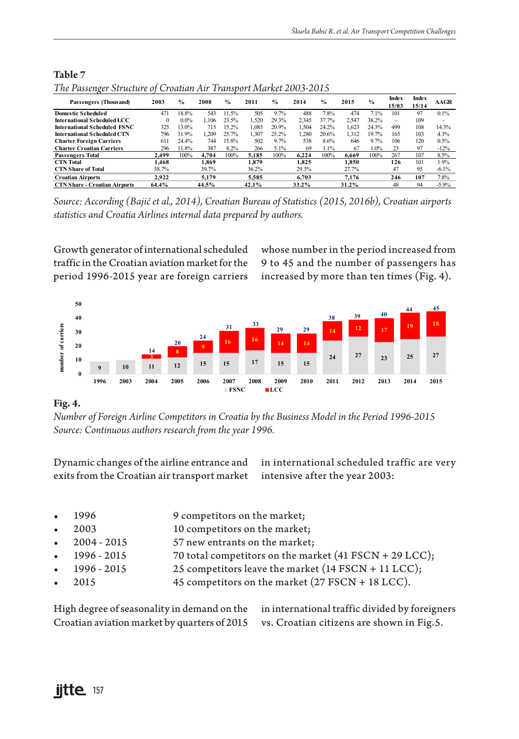| The Passenger Structure of Croatian Air Transport Market 2003-2015 |          |               |       |               |       |               |       |               |       |               |                |                |             |
|--------------------------------------------------------------------|----------|---------------|-------|---------------|-------|---------------|-------|---------------|-------|---------------|----------------|----------------|-------------|
| Passengers (Thousand)                                              | 2003     | $\frac{9}{6}$ | 2008  | $\frac{0}{0}$ | 2011  | $\frac{0}{n}$ | 2014  | $\frac{0}{0}$ | 2015  | $\frac{0}{2}$ | Index<br>15/03 | Index<br>15/14 | <b>AAGR</b> |
| <b>Domestic Scheduled</b>                                          | 471      | 18.8%         | 543   | 11.5%         | 505   | 9.7%          | 488   | 7.8%          | 474   | 7.1%          | 101            | 97             | 0.1%        |
| International Scheduled LCC                                        | $\Omega$ | $0.0\%$       | 1.106 | 23.5%         | 1.520 | 29.3%         | 2.345 | 37.7%         | 2.547 | 38.2%         | ٠              | 109            | -           |
| <b>International Scheduled FSNC</b>                                | 325      | 13.0%         | 715   | 15.2%         | 1.085 | 20.9%         | 1.504 | 24.2%         | 1.623 | 24.3%         | 499            | 108            | 14.3%       |
| International Scheduled CTN                                        | 796      | 31.9%         | 1.209 | 25.7%         | 1.307 | 25.2%         | 1.280 | 20.6%         | 1.312 | 19.7%         | 165            | 103            | 4.3%        |
| <b>Charter Foreign Carriers</b>                                    | 611      | 24.4%         | 744   | 15.8%         | 502   | 9.7%          | 538   | 8.6%          | 646   | 9.7%          | 106            | 120            | 0.5%        |
| <b>Charter Croatian Carriers</b>                                   | 296      | 11.8%         | 387   | 8.2%          | 266   | 5.1%          | 69    | 1.1%          | 67    | 1.0%          | 23             | 97             | $-12%$      |
| <b>Passengers Total</b>                                            | 2.499    | 100%          | 4.704 | 100%          | 5.185 | 100%          | 6.224 | 100%          | 6.669 | 100%          | 267            | 107            | 8.5%        |
| <b>CTN</b> Total                                                   | 1.468    |               | 1.869 |               | 1.879 |               | 1.825 |               | 1.850 |               | 126            | 101            | 1.9%        |
| <b>CTN Share of Total</b>                                          | 58.7%    |               | 39.7% |               | 36.2% |               | 29.3% |               | 27.7% |               | 47             | 95             | $-6.1%$     |
| <b>Croatian Airports</b>                                           | 2.922    |               | 5.179 |               | 5.585 |               | 6.703 |               | 7.176 |               | 246            | 107            | 7.8%        |
| <b>CTN Share - Croatian Airports</b>                               | 64.4%    |               | 44.5% |               | 42.1% |               | 33.2% |               | 31.2% |               | 48             | 94             | $-5.9%$     |

### **Table 7** *The Passenger Structure of Croatian Air Transport Market 2003-2015*

*Source: According (Bajić et al., 2014), Croatian Bureau of Statistics (2015, 2016b), Croatian airports statistics and Croatia Airlines internal data prepared by authors.*

Growth generator of international scheduled traffic in the Croatian aviation market for the period 1996-2015 year are foreign carriers whose number in the period increased from 9 to 45 and the number of passengers has increased by more than ten times (Fig. 4).



### **Fig. 4.**

*Number of Foreign Airline Competitors in Croatia by the Business Model in the Period 1996-2015 Source: Continuous authors research from the year 1996.* 

Dynamic changes of the airline entrance and exits from the Croatian air transport market

in international scheduled traffic are very intensive after the year 2003:

- 1996 9 competitors on the market;
- 2003 10 competitors on the market;
- 2004 2015 57 new entrants on the market;
- 1996 2015 70 total competitors on the market (41 FSCN + 29 LCC);
- 1996 2015 25 competitors leave the market (14 FSCN + 11 LCC);
	- 2015 45 competitors on the market (27 FSCN + 18 LCC).

| High degree of seasonality in demand on the in international traffic divided by foreigners |  |
|--------------------------------------------------------------------------------------------|--|
| Croatian aviation market by quarters of 2015 vs. Croatian citizens are shown in Fig. 5.    |  |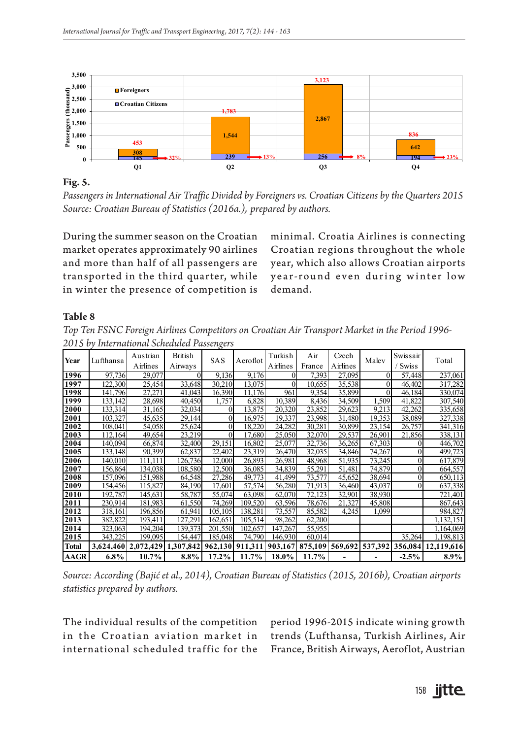

**Fig. 5.**

*Passengers in International Air Traffic Divided by Foreigners vs. Croatian Citizens by the Quarters 2015 Source: Croatian Bureau of Statistics (2016a.), prepared by authors.* 

During the summer season on the Croatian market operates approximately 90 airlines and more than half of all passengers are transported in the third quarter, while in winter the presence of competition is

minimal. Croatia Airlines is connecting Croatian regions throughout the whole year, which also allows Croatian airports year-round even during winter low demand.

#### **Table 8**

*Top Ten FSNC Foreign Airlines Competitors on Croatian Air Transport Market in the Period 1996- 2015 by International Scheduled Passengers*

| Year         | Lufthansa | Austrian<br>Airlines | <b>British</b><br>Airways | <b>SAS</b>     | Aeroflot | Turkish<br>Airlines | Air<br>France | Czech<br>Airlines | Malev    | Swissair<br><b>Swiss</b> | Total                                                                        |
|--------------|-----------|----------------------|---------------------------|----------------|----------|---------------------|---------------|-------------------|----------|--------------------------|------------------------------------------------------------------------------|
| 1996         | 97,736    | 29,077               | $\Omega$                  | 9,136          | 9,176    | 0                   | 7,393         | 27,095            | $\theta$ | 57,448                   | 237,061                                                                      |
| 1997         | 122,300   | 25,454               | 33,648                    | 30,210         | 13.075   | $\Omega$            | 10,655        | 35,538            | $\theta$ | 46,402                   | 317,282                                                                      |
| 1998         | 141,796   | 27,271               | 41,043                    | 16,390         | 11,176   | 961                 | 9,354         | 35,899            | $\theta$ | 46,184                   | 330,074                                                                      |
| 1999         | 133.142   | 28,698               | 40,450                    | 1,757          | 6,828    | 10,389              | 8,436         | 34,509            | 1,509    | 41,822                   | 307,540                                                                      |
| 2000         | 133,314   | 31,165               | 32,034                    | $\Omega$       | 13.875   | 20,320              | 23,852        | 29,623            | 9.213    | 42,262                   | 335,658                                                                      |
| 2001         | 103,327   | 45,635               | 29,144                    | $\overline{0}$ | 16.975   | 19,337              | 23,998        | 31,480            | 19,353   | 38,089                   | 327,338                                                                      |
| 2002         | 108,041   | 54,058               | 25,624                    | 0              | 18,220   | 24,282              | 30,281        | 30,899            | 23,154   | 26,757                   | 341,316                                                                      |
| 2003         | 112,164   | 49,654               | 23,219                    | 0              | 17.680   | 25,050              | 32,070        | 29,537            | 26.901   | 21,856                   | 338,131                                                                      |
| 2004         | 140,094   | 66,874               | 32,400                    | 29,151         | 16,802   | 25,077              | 32,736        | 36,265            | 67,303   | $\Omega$                 | 446,702                                                                      |
| 2005         | 133.1481  | 90.399               | 62,837                    | 22,402         | 23,319   | 26,470              | 32.035        | 34.846            | 74,267   | $\overline{0}$           | 499,723                                                                      |
| 2006         | 140,010   | 111.111              | 126,736                   | 12,000         | 26,893   | 26,981              | 48.968        | 51.935            | 73,245   | $\Omega$                 | 617,879                                                                      |
| 2007         | 156,864   | 134,038              | 108,580                   | 12,500         | 36,085   | 34,839              | 55,291        | 51,481            | 74,879   | $\Omega$                 | 664,557                                                                      |
| 2008         | 157,096   | 151.988              | 64,548                    | 27,286         | 49.773   | 41,499              | 73,577        | 45.652            | 38,694   | $\Omega$                 | 650,113                                                                      |
| 2009         | 154,456   | 115,827              | 84.190                    | 17.601         | 57,574   | 56.280              | 71.913        | 36,460            | 43.037   | $\Omega$                 | 637,338                                                                      |
| 2010         | 192,787   | 145,631              | 58,787                    | 55,074         | 63,098   | 62,070              | 72,123        | 32,901            | 38,930   |                          | 721,401                                                                      |
| 2011         | 230.914   | 181,983              | 61,550                    | 74,269         | 109,520  | 63.596              | 78.676        | 21,327            | 45,808   |                          | 867,643                                                                      |
| 2012         | 318,161   | 196,856              | 61,941                    | 105,105        | 138,281  | 73,557              | 85,582        | 4,245             | 1,099    |                          | 984,827                                                                      |
| 2013         | 382,822   | 193,411              | 127,291                   | 162,651        | 105,514  | 98,262              | 62,200        |                   |          |                          | 1,132,151                                                                    |
| 2014         | 323,063   | 194,204              | 139,373                   | 201,550        | 102,657  | 147,267             | 55,955        |                   |          |                          | 1,164,069                                                                    |
| 2015         | 343,225   | 199.095              | 154,447                   | 185,048        | 74,790   | 146.930             | 60,014        |                   |          | 35,264                   | 1,198,813                                                                    |
| <b>Total</b> |           | 3,624,460 2,072,429  |                           |                |          |                     |               |                   |          |                          | 1,307,842 962,130 911,311 903,167 875,109 569,692 537,392 356,084 12,119,616 |
| AAGR         | $6.8\%$   | $10.7\%$             | $8.8\%$                   | $17.2\%$       | $11.7\%$ | 18.0%               | 11.7%         |                   |          | $-2.5%$                  | $8.9\%$                                                                      |

*Source: According (Bajić et al., 2014), Croatian Bureau of Statistics (2015, 2016b), Croatian airports statistics prepared by authors.*

The individual results of the competition in the Croatian aviation market in international scheduled traffic for the

period 1996-2015 indicate wining growth trends (Lufthansa, Turkish Airlines, Air France, British Airways, Aeroflot, Austrian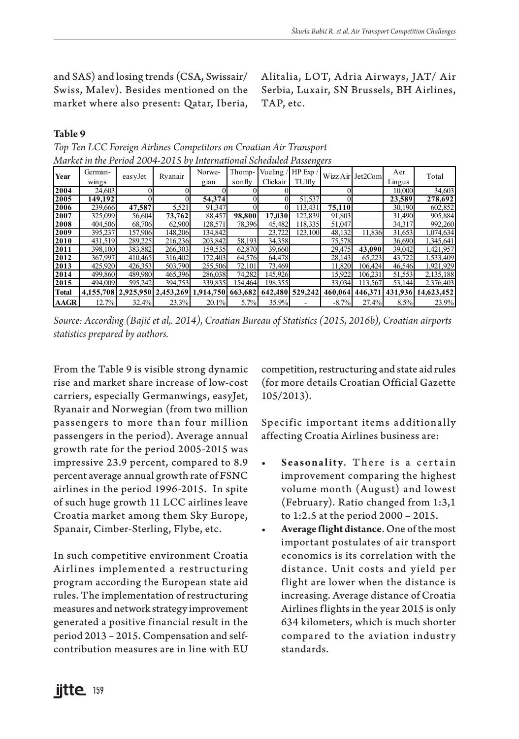and SAS) and losing trends (CSA, Swissair/ Swiss, Malev). Besides mentioned on the market where also present: Qatar, Iberia, Alitalia, LOT, Adria Airways, JAT/ Air Serbia, Luxair, SN Brussels, BH Airlines, TAP, etc.

#### **Table 9**

|              |         |         |         | ишкет петеритория 2004-2013 by International Schedated Fassengers |         |          |                 |                 |                  |        |                    |
|--------------|---------|---------|---------|-------------------------------------------------------------------|---------|----------|-----------------|-----------------|------------------|--------|--------------------|
| Year         | German- | easyJet | Ryanair | Norwe-                                                            | Thomp-  | Vueling. | HP Exp /        |                 | Wizz Air Jet2Com | Aer    | Total              |
|              | wings   |         |         | gian                                                              | sonfly  | Clickair | TUIfly          |                 |                  | Lingus |                    |
| 2004         | 24,603  |         |         |                                                                   |         |          |                 |                 |                  | 10,000 | 34,603             |
| 2005         | 149.192 |         |         | 54,374                                                            |         |          | 51,537          |                 |                  | 23,589 | 278,692            |
| 2006         | 239,666 | 47,587  | 5.521   | 91.347                                                            |         |          | 113.431         | 75.110          |                  | 30,190 | 602,852            |
| 2007         | 325,099 | 56,604  | 73,762  | 88.457                                                            | 98,800  | 17.030   | 122.839         | 91.803          |                  | 31.490 | 905,884            |
| 2008         | 404,506 | 68,706  | 62,900  | 128.571                                                           | 78,396  | 45,482   | 118.335         | 51,047          |                  | 34.317 | 992,260            |
| 2009         | 395.237 | 157,906 | 148,206 | 134,842                                                           |         | 23,722   | 123.100         | 48.132          | 11,836           | 31,653 | 1,074,634          |
| 2010         | 431.519 | 289.225 | 216.236 | 203.842                                                           | 58.193  | 34,358   |                 | 75,578          |                  | 36.690 | 1,345,641          |
| 2011         | 398,100 | 383,882 | 266,303 | 159,535                                                           | 62,870  | 39,660   |                 | 29,475          | 43,090           | 39,042 | 1,421,957          |
| 2012         | 367,997 | 410,465 | 316,402 | 172,403                                                           | 64.576  | 64.478   |                 | 28.143          | 65.223           | 43.722 | 1,533,409          |
| 2013         | 425,920 | 426,353 | 503,790 | 255,506                                                           | 72.101  | 73,469   |                 | 11.820          | 106.424          | 46.546 | 1.921.929          |
| 2014         | 499,860 | 489,980 | 465,396 | 286,038                                                           | 74.282  | 145.926  |                 | 15.922          | 106.231          | 51,553 | 2,135,188          |
| 2015         | 494,009 | 595.242 | 394,753 | 339,835                                                           | 154.464 | 198.3551 |                 | 33,034          | 113.567          | 53,144 | 2,376,403          |
| <b>Total</b> |         |         |         | 4,155,708 2,925,950 2,453,269 1,914,750 663,682                   |         |          | 642,480 529,242 | 460.064 446.371 |                  |        | 431,936 14,623,452 |
| AAGR         | 12.7%   | 32.4%   | 23.3%   | 20.1%                                                             | 5.7%    | 35.9%    |                 | $-8.7%$         | 27.4%            | 8.5%   | 23.9%              |

*Top Ten LCC Foreign Airlines Competitors on Croatian Air Transport Market in the Period 2004-2015 by International Scheduled Passengers*

*Source: According (Bajić et al,. 2014), Croatian Bureau of Statistics (2015, 2016b), Croatian airports statistics prepared by authors.*

From the Table 9 is visible strong dynamic rise and market share increase of low-cost carriers, especially Germanwings, easyJet, Ryanair and Norwegian (from two million passengers to more than four million passengers in the period). Average annual growth rate for the period 2005-2015 was impressive 23.9 percent, compared to 8.9 percent average annual growth rate of FSNC airlines in the period 1996-2015. In spite of such huge growth 11 LCC airlines leave Croatia market among them Sky Europe, Spanair, Cimber-Sterling, Flybe, etc.

In such competitive environment Croatia Airlines implemented a restructuring program according the European state aid rules. The implementation of restructuring measures and network strategy improvement generated a positive financial result in the period 2013 – 2015. Compensation and selfcontribution measures are in line with EU

competition, restructuring and state aid rules (for more details Croatian Official Gazette 105/2013).

Specific important items additionally affecting Croatia Airlines business are:

- **Seasonality.** There is a certain improvement comparing the highest volume month (August) and lowest (February). Ratio changed from 1:3,1 to 1:2.5 at the period 2000 – 2015.
- **• Average flight distance**. One of the most important postulates of air transport economics is its correlation with the distance. Unit costs and yield per flight are lower when the distance is increasing. Average distance of Croatia Airlines flights in the year 2015 is only 634 kilometers, which is much shorter compared to the aviation industry standards.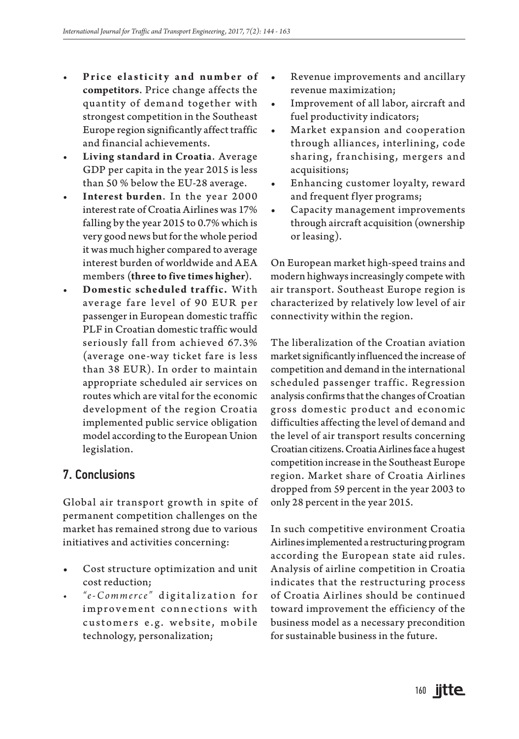- Price elasticity and number of **competitors**. Price change affects the quantity of demand together with strongest competition in the Southeast Europe region significantly affect traffic and financial achievements.
- **• Living standard in Croatia**. Average GDP per capita in the year 2015 is less than 50 % below the EU-28 average.
- **• Interest burden**. In the year 2000 interest rate of Croatia Airlines was 17% falling by the year 2015 to 0.7% which is very good news but for the whole period it was much higher compared to average interest burden of worldwide and AEA members (**three to five times higher**).
- **Domestic scheduled traffic.** With average fare level of 90 EUR per passenger in European domestic traffic PLF in Croatian domestic traffic would seriously fall from achieved 67.3% (average one-way ticket fare is less than 38 EUR). In order to maintain appropriate scheduled air services on routes which are vital for the economic development of the region Croatia implemented public service obligation model according to the European Union legislation.

## 7. Conclusions

Global air transport growth in spite of permanent competition challenges on the market has remained strong due to various initiatives and activities concerning:

- Cost structure optimization and unit cost reduction;
- $e$ <sup>*e*</sup>-*Commerce*" digitalization for improvement connections with customers e.g. website, mobile technology, personalization;
- Revenue improvements and ancillary revenue maximization;
- Improvement of all labor, aircraft and fuel productivity indicators;
- Market expansion and cooperation through alliances, interlining, code sharing, franchising, mergers and acquisitions;
- Enhancing customer loyalty, reward and frequent flyer programs;
- Capacity management improvements through aircraft acquisition (ownership or leasing).

On European market high-speed trains and modern highways increasingly compete with air transport. Southeast Europe region is characterized by relatively low level of air connectivity within the region.

The liberalization of the Croatian aviation market significantly influenced the increase of competition and demand in the international scheduled passenger traffic. Regression analysis confirms that the changes of Croatian gross domestic product and economic difficulties affecting the level of demand and the level of air transport results concerning Croatian citizens. Croatia Airlines face a hugest competition increase in the Southeast Europe region. Market share of Croatia Airlines dropped from 59 percent in the year 2003 to only 28 percent in the year 2015.

In such competitive environment Croatia Airlines implemented a restructuring program according the European state aid rules. Analysis of airline competition in Croatia indicates that the restructuring process of Croatia Airlines should be continued toward improvement the efficiency of the business model as a necessary precondition for sustainable business in the future.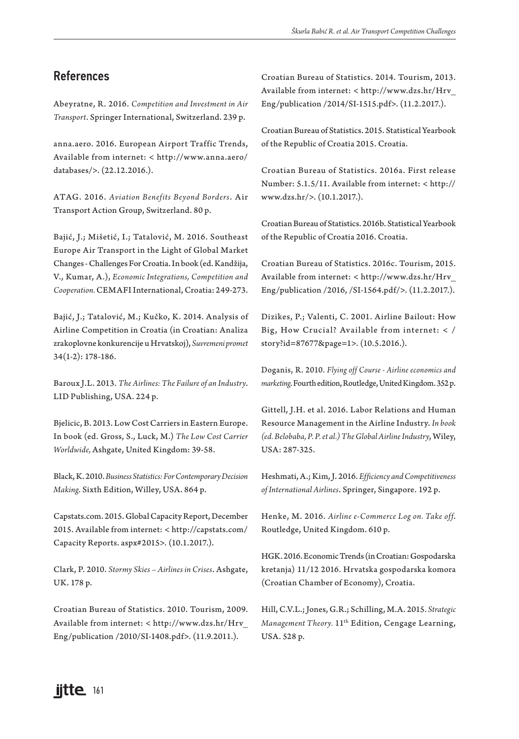## References

Abeyratne, R. 2016. *Competition and Investment in Air Transport*. Springer International, Switzerland. 239 p.

anna.aero. 2016. European Airport Traffic Trends, Available from internet: < http://www.anna.aero/ databases/>. (22.12.2016.).

ATAG. 2016. *Aviation Benefits Beyond Borders*. Air Transport Action Group, Switzerland. 80 p.

Bajić, J.; Mišetić, I.; Tatalović, M. 2016. Southeast Europe Air Transport in the Light of Global Market Changes - Challenges For Croatia. In book (ed. Kandžija, V., Kumar, A.), *Economic Integrations, Competition and Cooperation.* CEMAFI International, Croatia: 249-273.

Bajić, J.; Tatalović, M.; Kučko, K. 2014. Analysis of Airline Competition in Croatia (in Croatian: Analiza zrakoplovne konkurencije u Hrvatskoj), *Suvremeni promet* 34(1-2): 178-186.

Baroux J.L. 2013. *The Airlines: The Failure of an Industry*. LID Publishing, USA. 224 p.

Bjelicic, B. 2013. Low Cost Carriers in Eastern Europe. In book (ed. Gross, S., Luck, M.) *The Low Cost Carrier Worldwide,* Ashgate, United Kingdom: 39-58.

Black, K. 2010. *Business Statistics: For Contemporary Decision Making*. Sixth Edition, Willey, USA. 864 p.

Capstats.com. 2015. Global Capacity Report, December 2015. Available from internet: < http://capstats.com/ Capacity Reports. aspx#2015>. (10.1.2017.).

Clark, P. 2010. *Stormy Skies – Airlines in Crises*. Ashgate, UK. 178 p.

Croatian Bureau of Statistics. 2010. Tourism, 2009. Available from internet: < http://www.dzs.hr/Hrv\_ Eng/publication /2010/SI-1408.pdf>. (11.9.2011.).

Croatian Bureau of Statistics. 2014. Tourism, 2013. Available from internet: < http://www.dzs.hr/Hrv\_ Eng/publication /2014/SI-1515.pdf>. (11.2.2017.).

Croatian Bureau of Statistics. 2015. Statistical Yearbook of the Republic of Croatia 2015. Croatia.

Croatian Bureau of Statistics. 2016a. First release Number: 5.1.5/11. Available from internet: < http:// www.dzs.hr/>. (10.1.2017.).

Croatian Bureau of Statistics. 2016b. Statistical Yearbook of the Republic of Croatia 2016. Croatia.

Croatian Bureau of Statistics. 2016c. Tourism, 2015. Available from internet: < http://www.dzs.hr/Hrv\_ Eng/publication /2016, /SI-1564.pdf/>. (11.2.2017.).

Dizikes, P.; Valenti, C. 2001. Airline Bailout: How Big, How Crucial? Available from internet:  $\langle$  / story?id=87677&page=1>. (10.5.2016.).

Doganis, R. 2010. *Flying off Course - Airline economics and marketing*. Fourth edition, Routledge, United Kingdom. 352 p.

Gittell, J.H. et al. 2016. Labor Relations and Human Resource Management in the Airline Industry. *In book (ed. Belobaba, P. P. et al.) The Global Airline Industry*, Wiley, USA: 287-325.

Heshmati, A.; Kim, J. 2016. *Efficiency and Competitiveness of International Airlines*. Springer, Singapore. 192 p.

Henke, M. 2016. *Airline e-Commerce Log on. Take off*. Routledge, United Kingdom. 610 p.

HGK. 2016. Economic Trends (in Croatian: Gospodarska kretanja) 11/12 2016. Hrvatska gospodarska komora (Croatian Chamber of Economy), Croatia.

Hill, C.V.L.; Jones, G.R.; Schilling, M.A. 2015. *Strategic Management Theory.* 11<sup>th</sup> Edition, Cengage Learning, USA. 528 p.

# **iitte** 161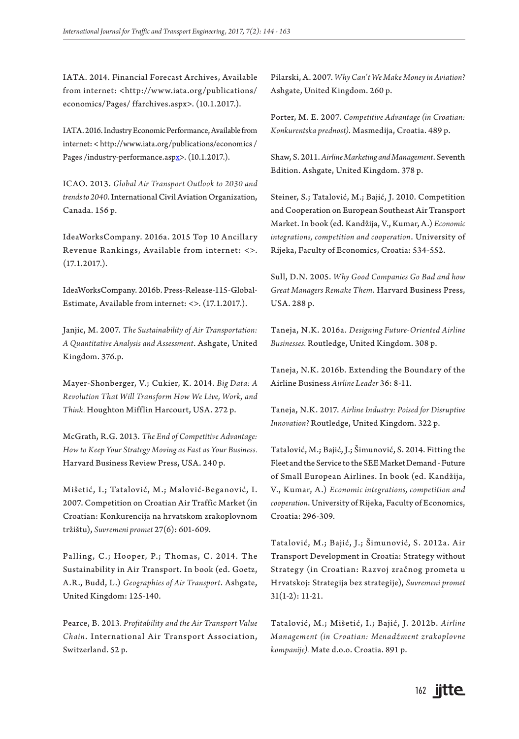IATA. 2014. Financial Forecast Archives, Available from internet: <http://www.iata.org/publications/ economics/Pages/ ffarchives.aspx>. (10.1.2017.).

IATA. 2016. Industry Economic Performance, Available from internet: < http://www.iata.org/publications/economics / Pages /industry-performance.aspx>. (10.1.2017.).

ICAO. 2013. *Global Air Transport Outlook to 2030 and trends to 2040*. International Civil Aviation Organization, Canada. 156 p.

IdeaWorksCompany. 2016a. 2015 Top 10 Ancillary Revenue Rankings, Available from internet: <>. (17.1.2017.).

IdeaWorksCompany. 2016b. Press-Release-115-Global-Estimate, Available from internet: <>. (17.1.2017.).

Janjic, M. 2007. *The Sustainability of Air Transportation: A Quantitative Analysis and Assessment*. Ashgate, United Kingdom. 376.p.

Mayer-Shonberger, V.; Cukier, K. 2014. *Big Data: A Revolution That Will Transform How We Live, Work, and Think.* Houghton Mifflin Harcourt, USA. 272 p.

McGrath, R.G. 2013. *The End of Competitive Advantage: How to Keep Your Strategy Moving as Fast as Your Business.* Harvard Business Review Press, USA. 240 p.

Mišetić, I.; Tatalović, M.; Malović-Beganović, I. 2007. Competition on Croatian Air Traffic Market (in Croatian: Konkurencija na hrvatskom zrakoplovnom tržištu), *Suvremeni promet* 27(6): 601-609.

Palling, C.; Hooper, P.; Thomas, C. 2014. The Sustainability in Air Transport. In book (ed. Goetz, A.R., Budd, L.) *Geographies of Air Transport*. Ashgate, United Kingdom: 125-140.

Pearce, B. 2013*. Profitability and the Air Transport Value Chain*. International Air Transport Association, Switzerland. 52 p.

Pilarski, A. 2007. *Why Can't We Make Money in Aviation?* Ashgate, United Kingdom. 260 p.

Porter, M. E. 2007. *Competitive Advantage (in Croatian: Konkurentska prednost)*. Masmedija, Croatia. 489 p.

Shaw, S. 2011. *Airline Marketing and Management*. Seventh Edition. Ashgate, United Kingdom. 378 p.

Steiner, S.; Tatalović, M.; Bajić, J. 2010. Competition and Cooperation on European Southeast Air Transport Market. In book (ed. Kandžija, V., Kumar, A.) *Economic integrations, competition and cooperation*. University of Rijeka, Faculty of Economics, Croatia: 534-552.

Sull, D.N. 2005. *Why Good Companies Go Bad and how Great Managers Remake Them*. Harvard Business Press, USA. 288 p.

Taneja, N.K. 2016a. *Designing Future-Oriented Airline Businesses.* Routledge, United Kingdom. 308 p.

Taneja, N.K. 2016b. Extending the Boundary of the Airline Business *Airline Leader* 36: 8-11.

Taneja, N.K. 2017. *Airline Industry: Poised for Disruptive Innovation?* Routledge, United Kingdom. 322 p.

Tatalović, M.; Bajić, J.; Šimunović, S. 2014. Fitting the Fleet and the Service to the SEE Market Demand - Future of Small European Airlines. In book (ed. Kandžija, V., Kumar, A.) *Economic integrations, competition and cooperation*. University of Rijeka, Faculty of Economics, Croatia: 296-309.

Tatalović, M.; Bajić, J.; Šimunović, S. 2012a. Air Transport Development in Croatia: Strategy without Strategy (in Croatian: Razvoj zračnog prometa u Hrvatskoj: Strategija bez strategije), *Suvremeni promet* 31(1-2): 11-21.

Tatalović, M.; Mišetić, I.; Bajić, J. 2012b. *Airline Management (in Croatian: Menadžment zrakoplovne kompanije).* Mate d.o.o. Croatia. 891 p.

# 162 **jitte**